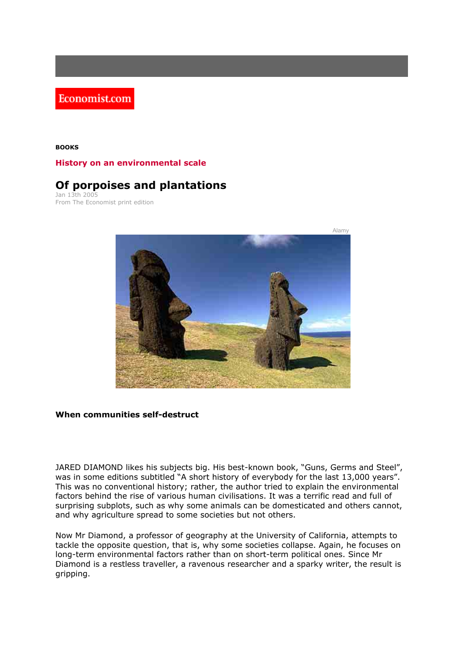Economist.com

## **BOOKS**

## **History on an environmental scale**

## **Of porpoises and plantations**

Jan 13th 2005 From The Economist print edition



## **When communities self-destruct**

JARED DIAMOND likes his subjects big. His best-known book, "Guns, Germs and Steel", was in some editions subtitled "A short history of everybody for the last 13,000 years". This was no conventional history; rather, the author tried to explain the environmental factors behind the rise of various human civilisations. It was a terrific read and full of surprising subplots, such as why some animals can be domesticated and others cannot, and why agriculture spread to some societies but not others.

Now Mr Diamond, a professor of geography at the University of California, attempts to tackle the opposite question, that is, why some societies collapse. Again, he focuses on long-term environmental factors rather than on short-term political ones. Since Mr Diamond is a restless traveller, a ravenous researcher and a sparky writer, the result is gripping.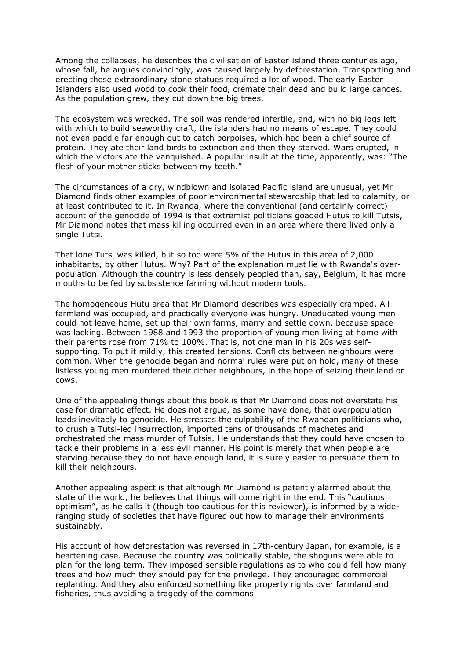Among the collapses, he describes the civilisation of Easter Island three centuries ago, whose fall, he argues convincingly, was caused largely by deforestation. Transporting and erecting those extraordinary stone statues required a lot of wood. The early Easter Islanders also used wood to cook their food, cremate their dead and build large canoes. As the population grew, they cut down the big trees.

The ecosystem was wrecked. The soil was rendered infertile, and, with no big logs left with which to build seaworthy craft, the islanders had no means of escape. They could not even paddle far enough out to catch porpoises, which had been a chief source of protein. They ate their land birds to extinction and then they starved. Wars erupted, in which the victors ate the vanquished. A popular insult at the time, apparently, was: "The flesh of your mother sticks between my teeth."

The circumstances of a dry, windblown and isolated Pacific island are unusual, yet Mr Diamond finds other examples of poor environmental stewardship that led to calamity, or at least contributed to it. In Rwanda, where the conventional (and certainly correct) account of the genocide of 1994 is that extremist politicians goaded Hutus to kill Tutsis, Mr Diamond notes that mass killing occurred even in an area where there lived only a single Tutsi.

That lone Tutsi was killed, but so too were 5% of the Hutus in this area of 2,000 inhabitants, by other Hutus. Why? Part of the explanation must lie with Rwanda's overpopulation. Although the country is less densely peopled than, say, Belgium, it has more mouths to be fed by subsistence farming without modern tools.

The homogeneous Hutu area that Mr Diamond describes was especially cramped. All farmland was occupied, and practically everyone was hungry. Uneducated young men could not leave home, set up their own farms, marry and settle down, because space was lacking. Between 1988 and 1993 the proportion of young men living at home with their parents rose from 71% to 100%. That is, not one man in his 20s was selfsupporting. To put it mildly, this created tensions. Conflicts between neighbours were common. When the genocide began and normal rules were put on hold, many of these listless young men murdered their richer neighbours, in the hope of seizing their land or cows.

One of the appealing things about this book is that Mr Diamond does not overstate his case for dramatic effect. He does not argue, as some have done, that overpopulation leads inevitably to genocide. He stresses the culpability of the Rwandan politicians who, to crush a Tutsi-led insurrection, imported tens of thousands of machetes and orchestrated the mass murder of Tutsis. He understands that they could have chosen to tackle their problems in a less evil manner. His point is merely that when people are starving because they do not have enough land, it is surely easier to persuade them to kill their neighbours.

Another appealing aspect is that although Mr Diamond is patently alarmed about the state of the world, he believes that things will come right in the end. This "cautious optimism", as he calls it (though too cautious for this reviewer), is informed by a wideranging study of societies that have figured out how to manage their environments sustainably.

His account of how deforestation was reversed in 17th-century Japan, for example, is a heartening case. Because the country was politically stable, the shoguns were able to plan for the long term. They imposed sensible regulations as to who could fell how many trees and how much they should pay for the privilege. They encouraged commercial replanting. And they also enforced something like property rights over farmland and fisheries, thus avoiding a tragedy of the commons.